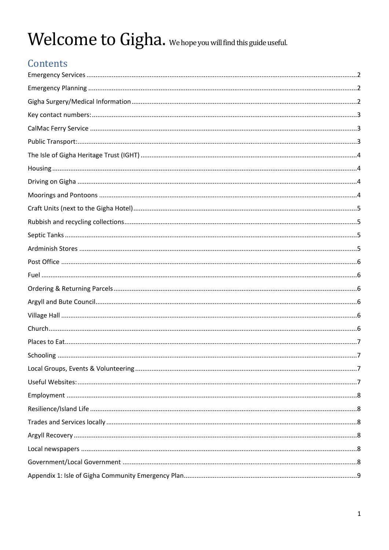# Welcome to Gigha. We hope you will find this guide useful.

# Contents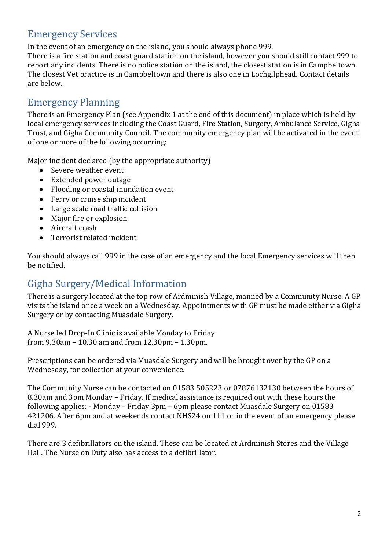## <span id="page-1-0"></span>Emergency Services

In the event of an emergency on the island, you should always phone 999.

There is a fire station and coast guard station on the island, however you should still contact 999 to report any incidents. There is no police station on the island, the closest station is in Campbeltown. The closest Vet practice is in Campbeltown and there is also one in Lochgilphead. Contact details are below.

#### <span id="page-1-1"></span>Emergency Planning

There is an Emergency Plan (see Appendix 1 at the end of this document) in place which is held by local emergency services including the Coast Guard, Fire Station, Surgery, Ambulance Service, Gigha Trust, and Gigha Community Council. The community emergency plan will be activated in the event of one or more of the following occurring:

Major incident declared (by the appropriate authority)

- Severe weather event
- Extended power outage
- Flooding or coastal inundation event
- Ferry or cruise ship incident
- Large scale road traffic collision
- Major fire or explosion
- Aircraft crash
- Terrorist related incident

You should always call 999 in the case of an emergency and the local Emergency services will then be notified.

## <span id="page-1-2"></span>Gigha Surgery/Medical Information

There is a surgery located at the top row of Ardminish Village, manned by a Community Nurse. A GP visits the island once a week on a Wednesday. Appointments with GP must be made either via Gigha Surgery or by contacting Muasdale Surgery.

A Nurse led Drop-In Clinic is available Monday to Friday from 9.30am – 10.30 am and from 12.30pm – 1.30pm.

Prescriptions can be ordered via Muasdale Surgery and will be brought over by the GP on a Wednesday, for collection at your convenience.

The Community Nurse can be contacted on 01583 505223 or 07876132130 between the hours of 8.30am and 3pm Monday – Friday. If medical assistance is required out with these hours the following applies: - Monday – Friday 3pm – 6pm please contact Muasdale Surgery on 01583 421206. After 6pm and at weekends contact NHS24 on 111 or in the event of an emergency please dial 999.

There are 3 defibrillators on the island. These can be located at Ardminish Stores and the Village Hall. The Nurse on Duty also has access to a defibrillator.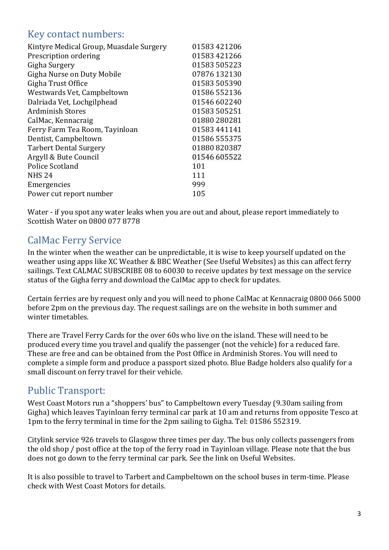#### <span id="page-2-0"></span>Key contact numbers:

| Kintyre Medical Group, Muasdale Surgery | 01583 421206 |
|-----------------------------------------|--------------|
| Prescription ordering                   | 01583 421266 |
| Gigha Surgery                           | 01583505223  |
| Gigha Nurse on Duty Mobile              | 07876 132130 |
| Gigha Trust Office                      | 01583 505390 |
| Westwards Vet, Campbeltown              | 01586552136  |
| Dalriada Vet, Lochgilphead              | 01546 602240 |
| <b>Ardminish Stores</b>                 | 01583 505251 |
| CalMac, Kennacraig                      | 01880 280281 |
| Ferry Farm Tea Room, Tayinloan          | 01583 441141 |
| Dentist, Campbeltown                    | 01586 555375 |
| <b>Tarbert Dental Surgery</b>           | 01880 820387 |
| Argyll & Bute Council                   | 01546 605522 |
| Police Scotland                         | 101          |
| <b>NHS 24</b>                           | 111          |
| Emergencies                             | 999          |
| Power cut report number                 | 105          |
|                                         |              |

Water - if you spot any water leaks when you are out and about, please report immediately to Scottish Water on 0800 077 8778

## <span id="page-2-1"></span>CalMac Ferry Service

In the winter when the weather can be unpredictable, it is wise to keep yourself updated on the weather using apps like XC Weather & BBC Weather (See Useful Websites) as this can affect ferry sailings. Text CALMAC SUBSCRIBE 08 to 60030 to receive updates by text message on the service status of the Gigha ferry and download the CalMac app to check for updates.

Certain ferries are by request only and you will need to phone CalMac at Kennacraig 0800 066 5000 before 2pm on the previous day. The request sailings are on the website in both summer and winter timetables.

There are Travel Ferry Cards for the over 60s who live on the island. These will need to be produced every time you travel and qualify the passenger (not the vehicle) for a reduced fare. These are free and can be obtained from the Post Office in Ardminish Stores. You will need to complete a simple form and produce a passport sized photo. Blue Badge holders also qualify for a small discount on ferry travel for their vehicle.

## <span id="page-2-2"></span>Public Transport:

West Coast Motors run a "shoppers' bus" to Campbeltown every Tuesday (9.30am sailing from Gigha) which leaves Tayinloan ferry terminal car park at 10 am and returns from opposite Tesco at 1pm to the ferry terminal in time for the 2pm sailing to Gigha. Tel: 01586 552319.

Citylink service 926 travels to Glasgow three times per day. The bus only collects passengers from the old shop / post office at the top of the ferry road in Tayinloan village. Please note that the bus does not go down to the ferry terminal car park. See the link on Useful Websites.

It is also possible to travel to Tarbert and Campbeltown on the school buses in term-time. Please check with West Coast Motors for details.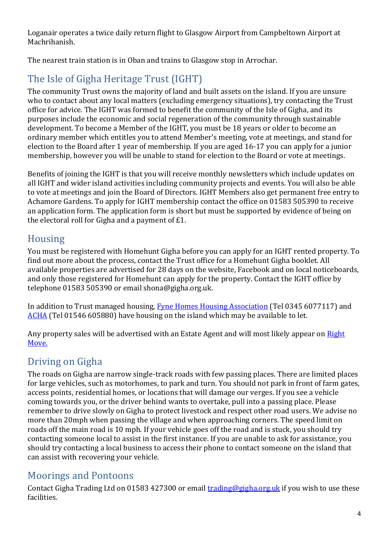Loganair operates a twice daily return flight to Glasgow Airport from Campbeltown Airport at Machrihanish.

The nearest train station is in Oban and trains to Glasgow stop in Arrochar.

# <span id="page-3-0"></span>The Isle of Gigha Heritage Trust (IGHT)

The community Trust owns the majority of land and built assets on the island. If you are unsure who to contact about any local matters (excluding emergency situations), try contacting the Trust office for advice. The IGHT was formed to benefit the community of the Isle of Gigha, and its purposes include the economic and social regeneration of the community through sustainable development. To become a Member of the IGHT, you must be 18 years or older to become an ordinary member which entitles you to attend Member's meeting, vote at meetings, and stand for election to the Board after 1 year of membership. If you are aged 16-17 you can apply for a junior membership, however you will be unable to stand for election to the Board or vote at meetings.

Benefits of joining the IGHT is that you will receive monthly newsletters which include updates on all IGHT and wider island activities including community projects and events. You will also be able to vote at meetings and join the Board of Directors. IGHT Members also get permanent free entry to Achamore Gardens. To apply for IGHT membership contact the office on 01583 505390 to receive an application form. The application form is short but must be supported by evidence of being on the electoral roll for Gigha and a payment of £1.

## <span id="page-3-1"></span>Housing

You must be registered with Homehunt Gigha before you can apply for an IGHT rented property. To find out more about the process, contact the Trust office for a Homehunt Gigha booklet. All available properties are advertised for 28 days on the website, Facebook and on local noticeboards, and only those registered for Homehunt can apply for the property. Contact the IGHT office by telephone 01583 505390 or email shona@gigha.org.uk.

In addition to Trust managed housing, [Fyne Homes Housing Association](https://fynehomes.org.uk/) (Tel 0345 6077117) and [ACHA](https://www.acha.co.uk/) (Tel 01546 605880) have housing on the island which may be available to let.

Any property sales will be advertised with an Estate Agent and will most likely appear on [Right](https://www.rightmove.co.uk/)  [Move.](https://www.rightmove.co.uk/)

## <span id="page-3-2"></span>Driving on Gigha

The roads on Gigha are narrow single-track roads with few passing places. There are limited places for large vehicles, such as motorhomes, to park and turn. You should not park in front of farm gates, access points, residential homes, or locations that will damage our verges. If you see a vehicle coming towards you, or the driver behind wants to overtake, pull into a passing place. Please remember to drive slowly on Gigha to protect livestock and respect other road users. We advise no more than 20mph when passing the village and when approaching corners. The speed limit on roads off the main road is 10 mph. If your vehicle goes off the road and is stuck, you should try contacting someone local to assist in the first instance. If you are unable to ask for assistance, you should try contacting a local business to access their phone to contact someone on the island that can assist with recovering your vehicle.

## <span id="page-3-3"></span>Moorings and Pontoons

Contact Gigha Trading Ltd on 01583 427300 or email **trading@gigha.org.uk** if you wish to use these facilities.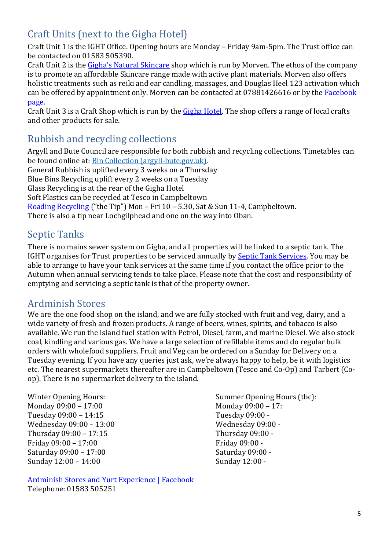## <span id="page-4-0"></span>Craft Units (next to the Gigha Hotel)

Craft Unit 1 is the IGHT Office. Opening hours are Monday – Friday 9am-5pm. The Trust office can be contacted on 01583 505390.

Craft Unit 2 is the [Gigha's Natural Skincare](https://store24028192.ecwid.com/) shop which is run by Morven. The ethos of the company is to promote an affordable Skincare range made with active plant materials. Morven also offers holistic treatments such as reiki and ear candling, massages, and Douglas Heel 123 activation which can be offered by appointment only. Morven can be contacted at 07881426616 or by the Facebook [page.](https://www.facebook.com/GighasNaturalSkincare/)

Craft Unit 3 is a Craft Shop which is run by the [Gigha Hotel.](https://www.gighahotel.com/) The shop offers a range of local crafts and other products for sale.

#### <span id="page-4-1"></span>Rubbish and recycling collections

Argyll and Bute Council are responsible for both rubbish and recycling collections. Timetables can be found online at: [Bin Collection \(argyll-bute.gov.uk\).](https://www.argyll-bute.gov.uk/planning-and-environment/bin-collection) General Rubbish is uplifted every 3 weeks on a Thursday Blue Bins Recycling uplift every 2 weeks on a Tuesday

Glass Recycling is at the rear of the Gigha Hotel

Soft Plastics can be recycled at Tesco in Campbeltown

[Roading Recycling](https://www.argyll-bute.gov.uk/roading-recycling-centre) ("the Tip") Mon – Fri 10 – 5.30, Sat & Sun 11-4, Campbeltown.

<span id="page-4-2"></span>There is also a tip near Lochgilphead and one on the way into Oban.

## Septic Tanks

There is no mains sewer system on Gigha, and all properties will be linked to a septic tank. The IGHT organises for Trust properties to be serviced annually by [Septic Tank Services.](https://www.septictankservicesltd.com/) You may be able to arrange to have your tank services at the same time if you contact the office prior to the Autumn when annual servicing tends to take place. Please note that the cost and responsibility of emptying and servicing a septic tank is that of the property owner.

#### <span id="page-4-3"></span>Ardminish Stores

We are the one food shop on the island, and we are fully stocked with fruit and veg, dairy, and a wide variety of fresh and frozen products. A range of beers, wines, spirits, and tobacco is also available. We run the island fuel station with Petrol, Diesel, farm, and marine Diesel. We also stock coal, kindling and various gas. We have a large selection of refillable items and do regular bulk orders with wholefood suppliers. Fruit and Veg can be ordered on a Sunday for Delivery on a Tuesday evening. If you have any queries just ask, we're always happy to help, be it with logistics etc. The nearest supermarkets thereafter are in Campbeltown (Tesco and Co-Op) and Tarbert (Coop). There is no supermarket delivery to the island.

Monday 09:00 – 17:00 Monday 09:00 – 17: Tuesday 09:00 – 14:15 Tuesday 09:00 - Wednesday 09:00 - 13:00 Wednesday 09:00 -Thursday 09:00 – 17:15 Thursday 09:00 - Friday 09:00 – 17:00 Friday 09:00 -Saturday 09:00 – 17:00 Saturday 09:00 -Sunday 12:00 – 14:00 Sunday 12:00 -

[Ardminish Stores and Yurt Experience | Facebook](https://www.facebook.com/ardminishstores) Telephone: 01583 505251

Winter Opening Hours: Summer Opening Hours (tbc):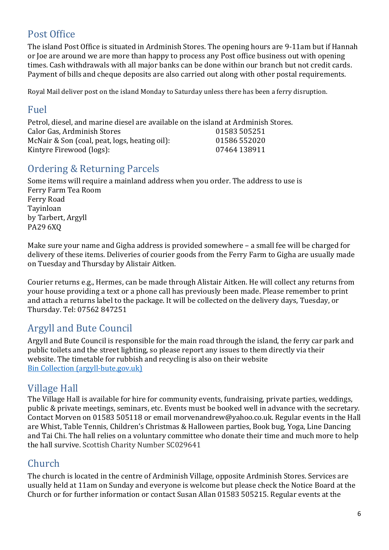## <span id="page-5-0"></span>Post Office

The island Post Office is situated in Ardminish Stores. The opening hours are 9-11am but if Hannah or Joe are around we are more than happy to process any Post office business out with opening times. Cash withdrawals with all major banks can be done within our branch but not credit cards. Payment of bills and cheque deposits are also carried out along with other postal requirements.

Royal Mail deliver post on the island Monday to Saturday unless there has been a ferry disruption.

#### <span id="page-5-1"></span>Fuel

Petrol, diesel, and marine diesel are available on the island at Ardminish Stores. Calor Gas, Ardminish Stores 01583 505251 McNair & Son (coal, peat, logs, heating oil): 01586 552020 Kintyre Firewood (logs): 07464 138911

## <span id="page-5-2"></span>Ordering & Returning Parcels

Some items will require a mainland address when you order. The address to use is Ferry Farm Tea Room Ferry Road Tayinloan by Tarbert, Argyll PA29 6XQ

Make sure your name and Gigha address is provided somewhere – a small fee will be charged for delivery of these items. Deliveries of courier goods from the Ferry Farm to Gigha are usually made on Tuesday and Thursday by Alistair Aitken.

Courier returns e.g., Hermes, can be made through Alistair Aitken. He will collect any returns from your house providing a text or a phone call has previously been made. Please remember to print and attach a returns label to the package. It will be collected on the delivery days, Tuesday, or Thursday. Tel: 07562 847251

#### <span id="page-5-3"></span>Argyll and Bute Council

Argyll and Bute Council is responsible for the main road through the island, the ferry car park and public toilets and the street lighting, so please report any issues to them directly via their website. The timetable for rubbish and recycling is also on their website Bin Collection [\(argyll-bute.gov.uk\)](https://www.argyll-bute.gov.uk/planning-and-environment/bin-collection)

#### <span id="page-5-4"></span>Village Hall

The Village Hall is available for hire for community events, fundraising, private parties, weddings, public & private meetings, seminars, etc. Events must be booked well in advance with the secretary. Contact Morven on 01583 505118 or email [morvenandrew@yahoo.co.uk.](mailto:morvenandrew@yahoo.co.uk) Regular events in the Hall are Whist, Table Tennis, Children's Christmas & Halloween parties, Book bug, Yoga, Line Dancing and Tai Chi. The hall relies on a voluntary committee who donate their time and much more to help the hall survive. Scottish Charity Number SC029641

## <span id="page-5-5"></span>Church

The church is located in the centre of Ardminish Village, opposite Ardminish Stores. Services are usually held at 11am on Sunday and everyone is welcome but please check the Notice Board at the Church or for further information or contact Susan Allan 01583 505215. Regular events at the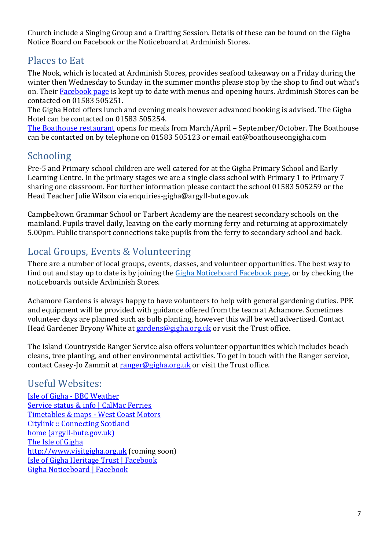Church include a Singing Group and a Crafting Session. Details of these can be found on the Gigha Notice Board on Facebook or the Noticeboard at Ardminish Stores.

#### <span id="page-6-0"></span>Places to Eat

The Nook, which is located at Ardminish Stores, provides seafood takeaway on a Friday during the winter then Wednesday to Sunday in the summer months please stop by the shop to find out what's on. Their [Facebook page](https://www.facebook.com/TheNookGigha) is kept up to date with menus and opening hours. Ardminish Stores can be contacted on 01583 505251.

The Gigha Hotel offers lunch and evening meals however advanced booking is advised. The Gigha Hotel can be contacted on 01583 505254.

[The Boathouse restaurant](https://boathouseongigha.com/) opens for meals from March/April – September/October. The Boathouse can be contacted on by telephone on 01583 505123 or email eat@boathouseongigha.com

## <span id="page-6-1"></span>Schooling

Pre-5 and Primary school children are well catered for at the Gigha Primary School and Early Learning Centre. In the primary stages we are a single class school with Primary 1 to Primary 7 sharing one classroom. For further information please contact the school 01583 505259 or the Head Teacher Julie Wilson via enquiries-gigha@argyll-bute.gov.uk

Campbeltown Grammar School or Tarbert Academy are the nearest secondary schools on the mainland. Pupils travel daily, leaving on the early morning ferry and returning at approximately 5.00pm. Public transport connections take pupils from the ferry to secondary school and back.

## <span id="page-6-2"></span>Local Groups, Events & Volunteering

There are a number of local groups, events, classes, and volunteer opportunities. The best way to find out and stay up to date is by joining th[e Gigha Noticeboard Facebook page,](https://www.facebook.com/groups/666984533412791/) or by checking the noticeboards outside Ardminish Stores.

Achamore Gardens is always happy to have volunteers to help with general gardening duties. PPE and equipment will be provided with guidance offered from the team at Achamore. Sometimes volunteer days are planned such as bulb planting, however this will be well advertised. Contact Head Gardener Bryony White at [gardens@gigha.org.uk](mailto:gardens@gigha.org.uk) or visit the Trust office.

The Island Countryside Ranger Service also offers volunteer opportunities which includes beach cleans, tree planting, and other environmental activities. To get in touch with the Ranger service, contact Casey-Jo Zammit at [ranger@gigha.org.uk](mailto:ranger@gigha.org.uk) or visit the Trust office.

## <span id="page-6-3"></span>Useful Websites:

[Isle of Gigha -](https://www.bbc.co.uk/weather/8316797) BBC Weather [Service status & info | CalMac Ferries](https://www.calmac.co.uk/service-status) [Timetables & maps -](https://www.westcoastmotors.co.uk/services) West Coast Motors [Citylink :: Connecting Scotland](https://www.citylink.co.uk/timetables.php) [home \(argyll-bute.gov.uk\)](https://www.argyll-bute.gov.uk/home) [The Isle of Gigha](https://www.gigha.org.uk/) [http://www.visitgigha.org.uk](http://www.visitgigha.org.uk/) (coming soon) [Isle of Gigha Heritage Trust | Facebook](https://www.facebook.com/isleofgighaheritagetrust/) [Gigha Noticeboard | Facebook](https://www.facebook.com/groups/666984533412791/)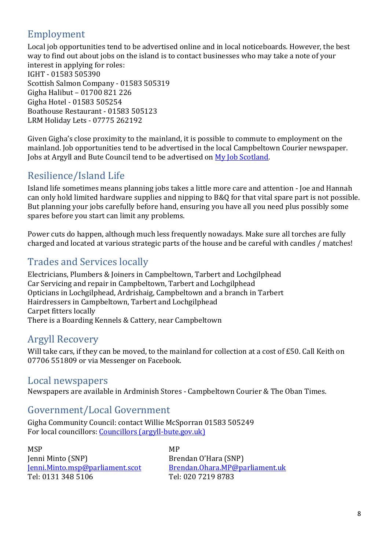# <span id="page-7-0"></span>Employment

Local job opportunities tend to be advertised online and in local noticeboards. However, the best way to find out about jobs on the island is to contact businesses who may take a note of your interest in applying for roles: IGHT - 01583 505390 Scottish Salmon Company - 01583 505319 Gigha Halibut – 01700 821 226 Gigha Hotel - 01583 505254 Boathouse Restaurant - 01583 505123 LRM Holiday Lets - 07775 262192

Given Gigha's close proximity to the mainland, it is possible to commute to employment on the mainland. Job opportunities tend to be advertised in the local Campbeltown Courier newspaper. Jobs at Argyll and Bute Council tend to be advertised on [My Job Scotland.](https://www.myjobscotland.gov.uk/)

## <span id="page-7-1"></span>Resilience/Island Life

Island life sometimes means planning jobs takes a little more care and attention - Joe and Hannah can only hold limited hardware supplies and nipping to B&Q for that vital spare part is not possible. But planning your jobs carefully before hand, ensuring you have all you need plus possibly some spares before you start can limit any problems.

Power cuts do happen, although much less frequently nowadays. Make sure all torches are fully charged and located at various strategic parts of the house and be careful with candles / matches!

## <span id="page-7-2"></span>Trades and Services locally

Electricians, Plumbers & Joiners in Campbeltown, Tarbert and Lochgilphead Car Servicing and repair in Campbeltown, Tarbert and Lochgilphead Opticians in Lochgilphead, Ardrishaig, Campbeltown and a branch in Tarbert Hairdressers in Campbeltown, Tarbert and Lochgilphead Carpet fitters locally There is a Boarding Kennels & Cattery, near Campbeltown

## <span id="page-7-3"></span>Argyll Recovery

Will take cars, if they can be moved, to the mainland for collection at a cost of £50. Call Keith on 07706 551809 or via Messenger on Facebook.

#### <span id="page-7-4"></span>Local newspapers

Newspapers are available in Ardminish Stores - Campbeltown Courier & The Oban Times.

#### <span id="page-7-5"></span>Government/Local Government

Gigha Community Council: contact Willie McSporran 01583 505249 For local councillors: [Councillors \(argyll-bute.gov.uk\)](https://www.argyll-bute.gov.uk/councillor_list)

MSP MP Jenni Minto (SNP) Brendan O'Hara (SNP) Tel: 0131 348 5106 Tel: 020 7219 8783

[Jenni.Minto.msp@parliament.scot](mailto:Jenni.Minto.msp@parliament.scot) [Brendan.Ohara.MP@parliament.uk](mailto:Brendan.Ohara.MP@parliament.uk)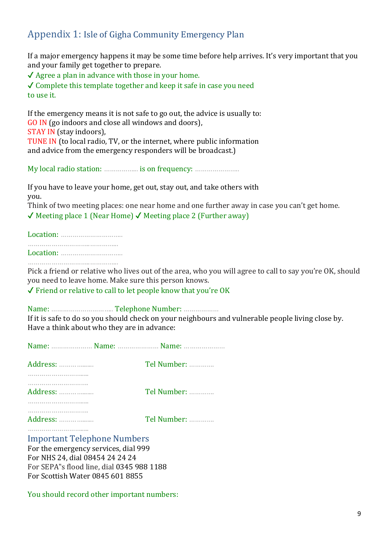## <span id="page-8-0"></span>Appendix 1: Isle of Gigha Community Emergency Plan

If a major emergency happens it may be some time before help arrives. It's very important that you and your family get together to prepare.

 $\sqrt{\phantom{a}}$  Agree a plan in advance with those in your home.

 $\checkmark$  Complete this template together and keep it safe in case you need to use it.

If the emergency means it is not safe to go out, the advice is usually to: GO IN (go indoors and close all windows and doors), STAY IN (stay indoors), TUNE IN (to local radio, TV, or the internet, where public information and advice from the emergency responders will be broadcast.)

My local radio station: ……………… is on frequency: …………………………

If you have to leave your home, get out, stay out, and take others with you.

Think of two meeting places: one near home and one further away in case you can't get home.  $\checkmark$  Meeting place 1 (Near Home)  $\checkmark$  Meeting place 2 (Further away)

Location: ………………………….. …………………………..…………... Location: …………………………..

…………………………..…………...

Pick a friend or relative who lives out of the area, who you will agree to call to say you're OK, should you need to leave home. Make sure this person knows.

✔ Friend or relative to call to let people know that you're OK

Name: ………………………….. Telephone Number: ………………

If it is safe to do so you should check on your neighbours and vulnerable people living close by. Have a think about who they are in advance:

|          | Tel Number: |
|----------|-------------|
| Address: | Tel Number: |
|          | Tel Number: |

Important Telephone Numbers

For the emergency services, dial 999 For NHS 24, dial 08454 24 24 24 For SEPA"s flood line, dial 0345 988 1188 For Scottish Water 0845 601 8855

You should record other important numbers: